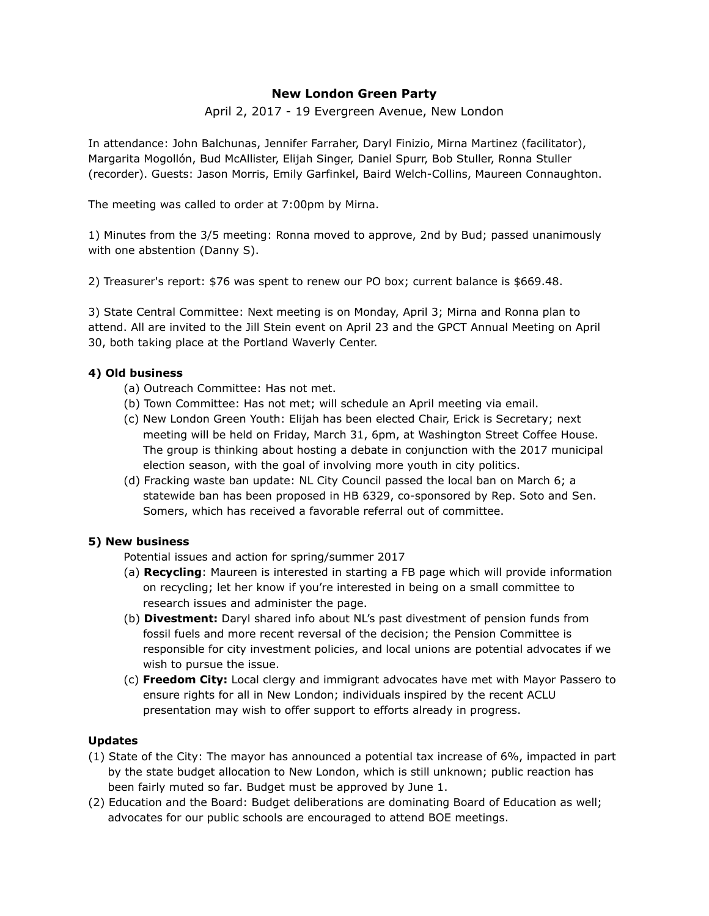## **New London Green Party**

April 2, 2017 - 19 Evergreen Avenue, New London

In attendance: John Balchunas, Jennifer Farraher, Daryl Finizio, Mirna Martinez (facilitator), Margarita Mogollón, Bud McAllister, Elijah Singer, Daniel Spurr, Bob Stuller, Ronna Stuller (recorder). Guests: Jason Morris, Emily Garfinkel, Baird Welch-Collins, Maureen Connaughton.

The meeting was called to order at 7:00pm by Mirna.

1) Minutes from the 3/5 meeting: Ronna moved to approve, 2nd by Bud; passed unanimously with one abstention (Danny S).

2) Treasurer's report: \$76 was spent to renew our PO box; current balance is \$669.48.

3) State Central Committee: Next meeting is on Monday, April 3; Mirna and Ronna plan to attend. All are invited to the Jill Stein event on April 23 and the GPCT Annual Meeting on April 30, both taking place at the Portland Waverly Center.

## **4) Old business**

- (a) Outreach Committee: Has not met.
- (b) Town Committee: Has not met; will schedule an April meeting via email.
- (c) New London Green Youth: Elijah has been elected Chair, Erick is Secretary; next meeting will be held on Friday, March 31, 6pm, at Washington Street Coffee House. The group is thinking about hosting a debate in conjunction with the 2017 municipal election season, with the goal of involving more youth in city politics.
- (d) Fracking waste ban update: NL City Council passed the local ban on March 6; a statewide ban has been proposed in HB 6329, co-sponsored by Rep. Soto and Sen. Somers, which has received a favorable referral out of committee.

# **5) New business**

Potential issues and action for spring/summer 2017

- (a) **Recycling**: Maureen is interested in starting a FB page which will provide information on recycling; let her know if you're interested in being on a small committee to research issues and administer the page.
- (b) **Divestment:** Daryl shared info about NL's past divestment of pension funds from fossil fuels and more recent reversal of the decision; the Pension Committee is responsible for city investment policies, and local unions are potential advocates if we wish to pursue the issue.
- (c) **Freedom City:** Local clergy and immigrant advocates have met with Mayor Passero to ensure rights for all in New London; individuals inspired by the recent ACLU presentation may wish to offer support to efforts already in progress.

### **Updates**

- (1) State of the City: The mayor has announced a potential tax increase of 6%, impacted in part by the state budget allocation to New London, which is still unknown; public reaction has been fairly muted so far. Budget must be approved by June 1.
- (2) Education and the Board: Budget deliberations are dominating Board of Education as well; advocates for our public schools are encouraged to attend BOE meetings.